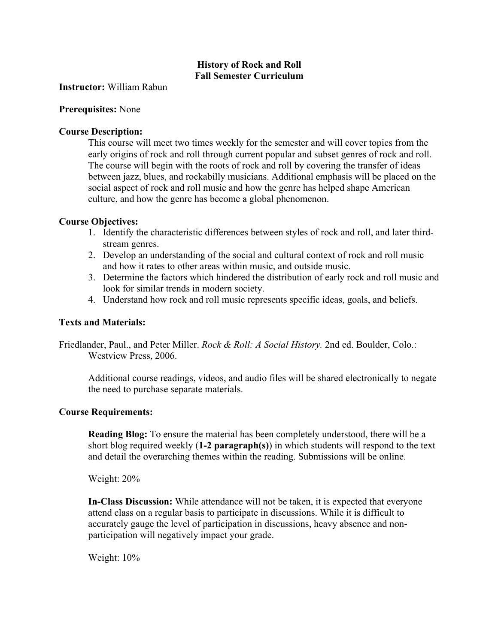# **History of Rock and Roll Fall Semester Curriculum**

**Instructor:** William Rabun

## **Prerequisites:** None

## **Course Description:**

This course will meet two times weekly for the semester and will cover topics from the early origins of rock and roll through current popular and subset genres of rock and roll. The course will begin with the roots of rock and roll by covering the transfer of ideas between jazz, blues, and rockabilly musicians. Additional emphasis will be placed on the social aspect of rock and roll music and how the genre has helped shape American culture, and how the genre has become a global phenomenon.

# **Course Objectives:**

- 1. Identify the characteristic differences between styles of rock and roll, and later thirdstream genres.
- 2. Develop an understanding of the social and cultural context of rock and roll music and how it rates to other areas within music, and outside music.
- 3. Determine the factors which hindered the distribution of early rock and roll music and look for similar trends in modern society.
- 4. Understand how rock and roll music represents specific ideas, goals, and beliefs.

## **Texts and Materials:**

Friedlander, Paul., and Peter Miller. *Rock & Roll: A Social History.* 2nd ed. Boulder, Colo.: Westview Press, 2006.

Additional course readings, videos, and audio files will be shared electronically to negate the need to purchase separate materials.

#### **Course Requirements:**

**Reading Blog:** To ensure the material has been completely understood, there will be a short blog required weekly (**1-2 paragraph(s)**) in which students will respond to the text and detail the overarching themes within the reading. Submissions will be online.

Weight: 20%

**In-Class Discussion:** While attendance will not be taken, it is expected that everyone attend class on a regular basis to participate in discussions. While it is difficult to accurately gauge the level of participation in discussions, heavy absence and nonparticipation will negatively impact your grade.

Weight: 10%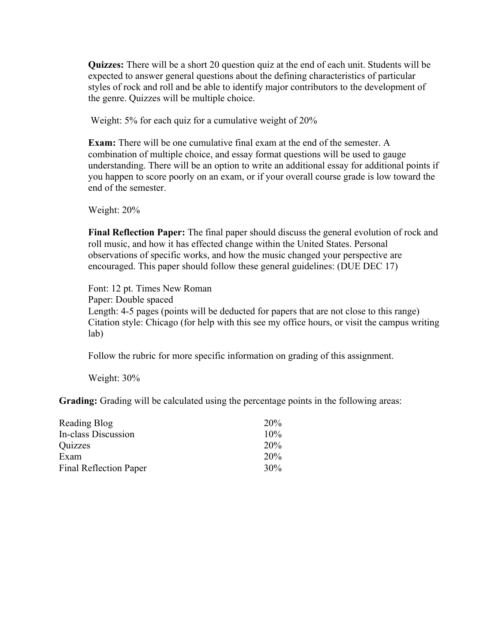**Quizzes:** There will be a short 20 question quiz at the end of each unit. Students will be expected to answer general questions about the defining characteristics of particular styles of rock and roll and be able to identify major contributors to the development of the genre. Quizzes will be multiple choice.

Weight: 5% for each quiz for a cumulative weight of 20%

**Exam:** There will be one cumulative final exam at the end of the semester. A combination of multiple choice, and essay format questions will be used to gauge understanding. There will be an option to write an additional essay for additional points if you happen to score poorly on an exam, or if your overall course grade is low toward the end of the semester.

Weight: 20%

**Final Reflection Paper:** The final paper should discuss the general evolution of rock and roll music, and how it has effected change within the United States. Personal observations of specific works, and how the music changed your perspective are encouraged. This paper should follow these general guidelines: (DUE DEC 17)

Font: 12 pt. Times New Roman Paper: Double spaced Length: 4-5 pages (points will be deducted for papers that are not close to this range) Citation style: Chicago (for help with this see my office hours, or visit the campus writing lab)

Follow the rubric for more specific information on grading of this assignment.

Weight: 30%

**Grading:** Grading will be calculated using the percentage points in the following areas:

| Reading Blog                  | 20\% |
|-------------------------------|------|
| In-class Discussion           | 10%  |
| Quizzes                       | 20%  |
| Exam                          | 20%  |
| <b>Final Reflection Paper</b> | 30%  |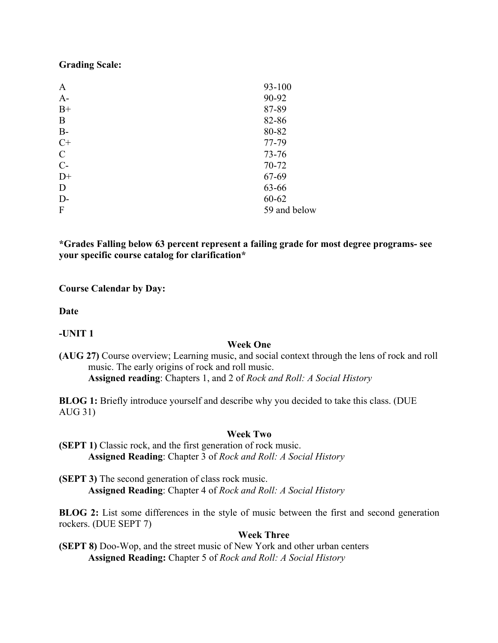#### **Grading Scale:**

| A             | 93-100       |
|---------------|--------------|
| $A-$          | 90-92        |
| $B+$          | 87-89        |
| B             | 82-86        |
| $B-$          | 80-82        |
| $C+$          | 77-79        |
| $\mathcal{C}$ | $73 - 76$    |
| $C-$          | 70-72        |
| $D+$          | 67-69        |
| D             | 63-66        |
| $D-$          | 60-62        |
| F             | 59 and below |

**\*Grades Falling below 63 percent represent a failing grade for most degree programs- see your specific course catalog for clarification\***

**Course Calendar by Day:** 

**Date**

**-UNIT 1**

#### **Week One**

**(AUG 27)** Course overview; Learning music, and social context through the lens of rock and roll music. The early origins of rock and roll music. **Assigned reading**: Chapters 1, and 2 of *Rock and Roll: A Social History* 

**BLOG 1:** Briefly introduce yourself and describe why you decided to take this class. (DUE AUG 31)

#### **Week Two**

**(SEPT 1)** Classic rock, and the first generation of rock music. **Assigned Reading**: Chapter 3 of *Rock and Roll: A Social History*

**(SEPT 3)** The second generation of class rock music. **Assigned Reading**: Chapter 4 of *Rock and Roll: A Social History*

**BLOG 2:** List some differences in the style of music between the first and second generation rockers. (DUE SEPT 7)

#### **Week Three**

**(SEPT 8)** Doo-Wop, and the street music of New York and other urban centers **Assigned Reading:** Chapter 5 of *Rock and Roll: A Social History*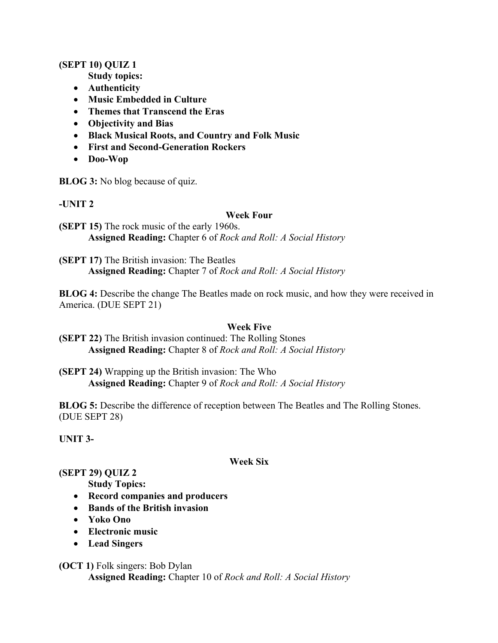# **(SEPT 10) QUIZ 1**

**Study topics:** 

- **Authenticity**
- **Music Embedded in Culture**
- **Themes that Transcend the Eras**
- **Objectivity and Bias**
- **Black Musical Roots, and Country and Folk Music**
- **First and Second-Generation Rockers**
- **Doo-Wop**

**BLOG 3:** No blog because of quiz.

# **-UNIT 2**

#### **Week Four**

**(SEPT 15)** The rock music of the early 1960s. **Assigned Reading:** Chapter 6 of *Rock and Roll: A Social History*

**(SEPT 17)** The British invasion: The Beatles **Assigned Reading:** Chapter 7 of *Rock and Roll: A Social History*

**BLOG 4:** Describe the change The Beatles made on rock music, and how they were received in America. (DUE SEPT 21)

# **Week Five**

- **(SEPT 22)** The British invasion continued: The Rolling Stones **Assigned Reading:** Chapter 8 of *Rock and Roll: A Social History*
- **(SEPT 24)** Wrapping up the British invasion: The Who **Assigned Reading:** Chapter 9 of *Rock and Roll: A Social History*

**BLOG 5:** Describe the difference of reception between The Beatles and The Rolling Stones. (DUE SEPT 28)

**UNIT 3-**

#### **Week Six**

# **(SEPT 29) QUIZ 2**

**Study Topics:**

- **Record companies and producers**
- **Bands of the British invasion**
- **Yoko Ono**
- **Electronic music**
- **Lead Singers**
- **(OCT 1)** Folk singers: Bob Dylan **Assigned Reading:** Chapter 10 of *Rock and Roll: A Social History*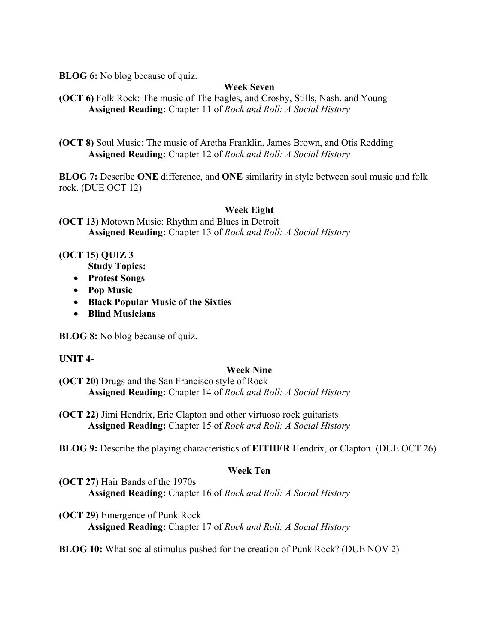**BLOG 6:** No blog because of quiz.

# **Week Seven**

**(OCT 6)** Folk Rock: The music of The Eagles, and Crosby, Stills, Nash, and Young **Assigned Reading:** Chapter 11 of *Rock and Roll: A Social History*

**(OCT 8)** Soul Music: The music of Aretha Franklin, James Brown, and Otis Redding **Assigned Reading:** Chapter 12 of *Rock and Roll: A Social History*

**BLOG 7:** Describe **ONE** difference, and **ONE** similarity in style between soul music and folk rock. (DUE OCT 12)

# **Week Eight**

**(OCT 13)** Motown Music: Rhythm and Blues in Detroit **Assigned Reading:** Chapter 13 of *Rock and Roll: A Social History*

# **(OCT 15) QUIZ 3**

**Study Topics:**

- **Protest Songs**
- **Pop Music**
- **Black Popular Music of the Sixties**
- **Blind Musicians**

**BLOG 8:** No blog because of quiz.

# **UNIT 4-**

#### **Week Nine**

- **(OCT 20)** Drugs and the San Francisco style of Rock **Assigned Reading:** Chapter 14 of *Rock and Roll: A Social History*
- **(OCT 22)** Jimi Hendrix, Eric Clapton and other virtuoso rock guitarists **Assigned Reading:** Chapter 15 of *Rock and Roll: A Social History*

**BLOG 9:** Describe the playing characteristics of **EITHER** Hendrix, or Clapton. (DUE OCT 26)

# **Week Ten**

- **(OCT 27)** Hair Bands of the 1970s **Assigned Reading:** Chapter 16 of *Rock and Roll: A Social History*
- **(OCT 29)** Emergence of Punk Rock **Assigned Reading:** Chapter 17 of *Rock and Roll: A Social History*

**BLOG 10:** What social stimulus pushed for the creation of Punk Rock? (DUE NOV 2)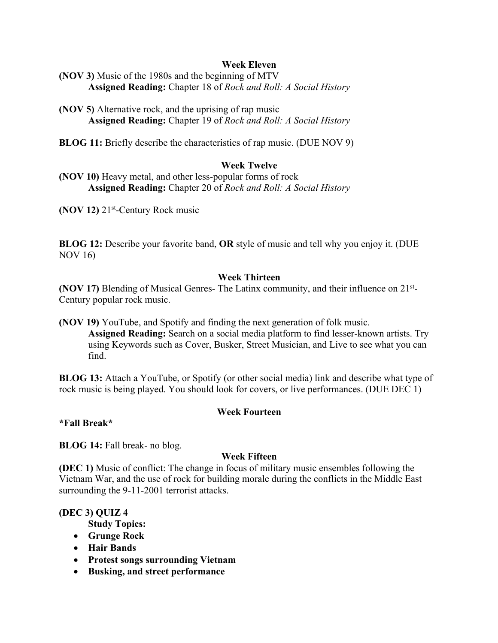# **Week Eleven**

**(NOV 3)** Music of the 1980s and the beginning of MTV **Assigned Reading:** Chapter 18 of *Rock and Roll: A Social History*

**(NOV 5)** Alternative rock, and the uprising of rap music **Assigned Reading:** Chapter 19 of *Rock and Roll: A Social History*

**BLOG 11:** Briefly describe the characteristics of rap music. (DUE NOV 9)

# **Week Twelve**

**(NOV 10)** Heavy metal, and other less-popular forms of rock **Assigned Reading:** Chapter 20 of *Rock and Roll: A Social History*

**(NOV 12)** 21st-Century Rock music

**BLOG 12:** Describe your favorite band, **OR** style of music and tell why you enjoy it. (DUE NOV 16)

#### **Week Thirteen**

**(NOV 17)** Blending of Musical Genres- The Latinx community, and their influence on 21st-Century popular rock music.

**(NOV 19)** YouTube, and Spotify and finding the next generation of folk music. **Assigned Reading:** Search on a social media platform to find lesser-known artists. Try using Keywords such as Cover, Busker, Street Musician, and Live to see what you can find.

**BLOG 13:** Attach a YouTube, or Spotify (or other social media) link and describe what type of rock music is being played. You should look for covers, or live performances. (DUE DEC 1)

# **Week Fourteen**

#### **\*Fall Break\***

**BLOG 14:** Fall break- no blog.

# **Week Fifteen**

**(DEC 1)** Music of conflict: The change in focus of military music ensembles following the Vietnam War, and the use of rock for building morale during the conflicts in the Middle East surrounding the 9-11-2001 terrorist attacks.

#### **(DEC 3) QUIZ 4**

- **Study Topics:**
- **Grunge Rock**
- **Hair Bands**
- **Protest songs surrounding Vietnam**
- **Busking, and street performance**